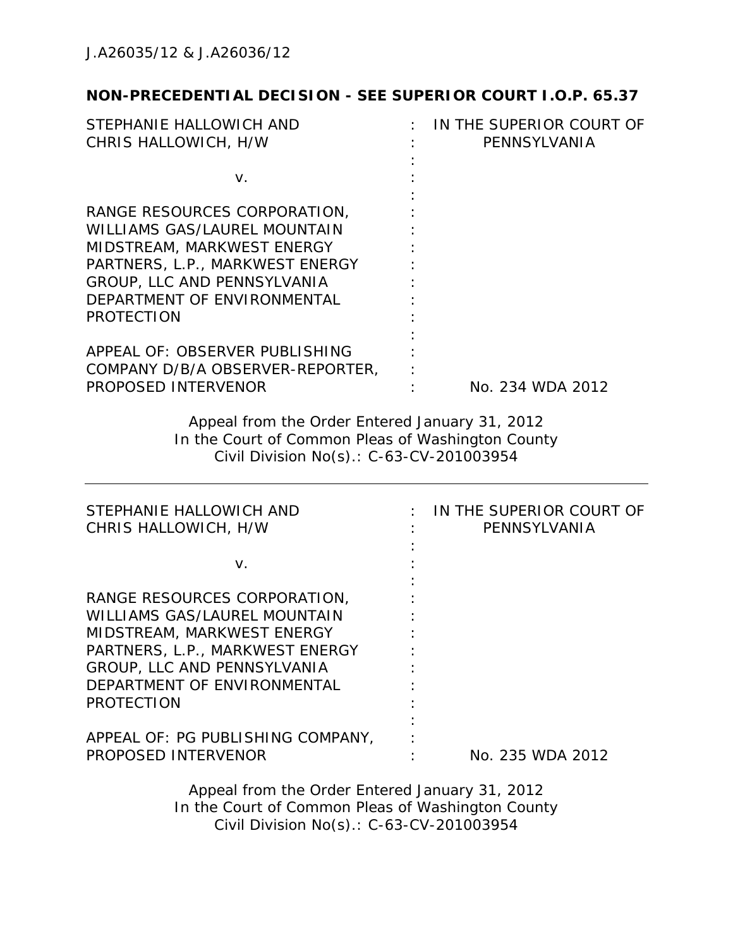# **NON-PRECEDENTIAL DECISION - SEE SUPERIOR COURT I.O.P. 65.37**

| STEPHANIE HALLOWICH AND<br>CHRIS HALLOWICH, H/W                                                                                                                                                                         | IN THE SUPERIOR COURT OF<br>PENNSYLVANIA |
|-------------------------------------------------------------------------------------------------------------------------------------------------------------------------------------------------------------------------|------------------------------------------|
|                                                                                                                                                                                                                         |                                          |
| V.                                                                                                                                                                                                                      |                                          |
| RANGE RESOURCES CORPORATION,<br><b>WILLIAMS GAS/LAUREL MOUNTAIN</b><br>MIDSTREAM, MARKWEST ENERGY<br>PARTNERS, L.P., MARKWEST ENERGY<br>GROUP, LLC AND PENNSYLVANIA<br>DEPARTMENT OF ENVIRONMENTAL<br><b>PROTECTION</b> |                                          |
| APPEAL OF: OBSERVER PUBLISHING<br>COMPANY D/B/A OBSERVER-REPORTER,<br>PROPOSED INTERVENOR                                                                                                                               | No. 234 WDA 2012                         |
| Appeal from the Order Entered January 31, 2012<br>In the Court of Common Pleas of Washington County<br>Civil Division No(s).: C-63-CV-201003954                                                                         |                                          |
| STEPHANIE HALLOWICH AND<br>CHRIS HALLOWICH, H/W                                                                                                                                                                         | IN THE SUPERIOR COURT OF<br>PENNSYLVANIA |
| V.                                                                                                                                                                                                                      |                                          |
| RANGE RESOURCES CORPORATION,<br><b>WILLIAMS GAS/LAUREL MOUNTAIN</b><br>MIDSTREAM, MARKWEST ENERGY<br>PARTNERS, L.P., MARKWEST ENERGY<br>GROUP, LLC AND PENNSYLVANIA<br>DEPARTMENT OF ENVIRONMENTAL<br><b>PROTECTION</b> |                                          |
| APPEAL OF: PG PUBLISHING COMPANY,<br>PROPOSED INTERVENOR                                                                                                                                                                | No. 235 WDA 2012                         |
| Appeal from the Order Entered January 31, 2012                                                                                                                                                                          |                                          |

In the Court of Common Pleas of Washington County Civil Division No(s).: C-63-CV-201003954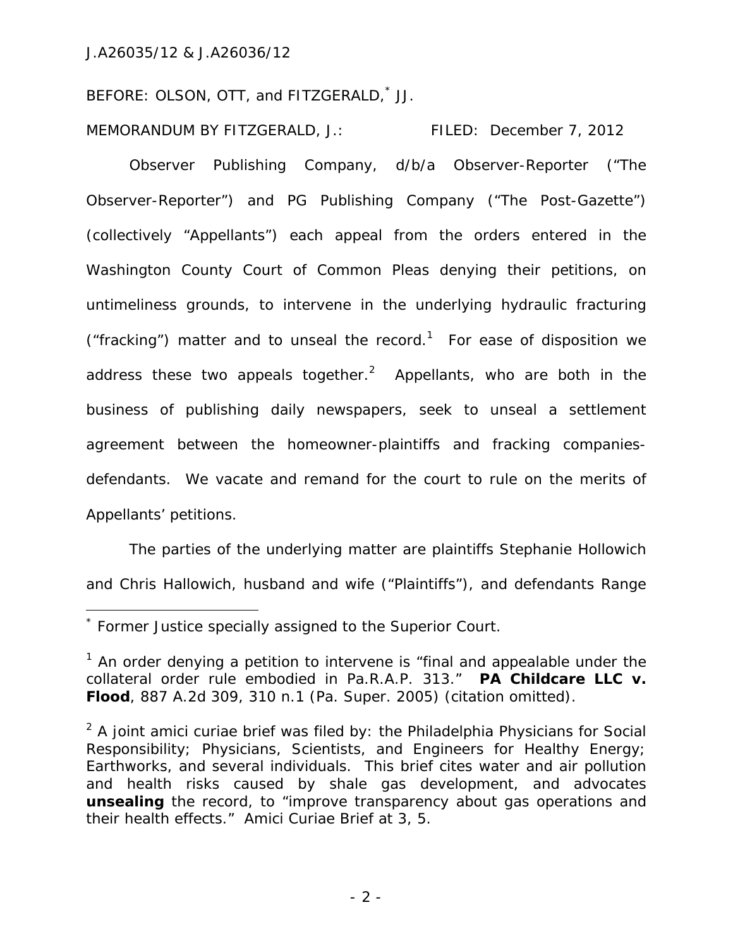BEFORE: OLSON, OTT, and FITZGERALD,\* JJ.

MEMORANDUM BY FITZGERALD, J.: FILED: December 7, 2012

Observer Publishing Company, d/b/a Observer-Reporter ("The Observer-Reporter") and PG Publishing Company ("The Post-Gazette") (collectively "Appellants") each appeal from the orders entered in the Washington County Court of Common Pleas denying their petitions, on untimeliness grounds, to intervene in the underlying hydraulic fracturing ("fracking") matter and to unseal the record.<sup>1</sup> For ease of disposition we address these two appeals together.<sup>2</sup> Appellants, who are both in the business of publishing daily newspapers, seek to unseal a settlement agreement between the homeowner-plaintiffs and fracking companiesdefendants. We vacate and remand for the court to rule on the merits of Appellants' petitions.

The parties of the underlying matter are plaintiffs Stephanie Hollowich and Chris Hallowich, husband and wife ("Plaintiffs"), and defendants Range

 $\overline{a}$ 

<sup>\*</sup> Former Justice specially assigned to the Superior Court.

<sup>&</sup>lt;sup>1</sup> An order denying a petition to intervene is "final and appealable under the collateral order rule embodied in Pa.R.A.P. 313." *PA Childcare LLC v. Flood*, 887 A.2d 309, 310 n.1 (Pa. Super. 2005) (citation omitted).

<sup>2</sup> A joint *amici curiae* brief was filed by: the Philadelphia Physicians for Social Responsibility; Physicians, Scientists, and Engineers for Healthy Energy; Earthworks, and several individuals. This brief cites water and air pollution and health risks caused by shale gas development, and advocates **unsealing** the record, to "improve transparency about gas operations and their health effects." *Amici Curiae* Brief at 3, 5.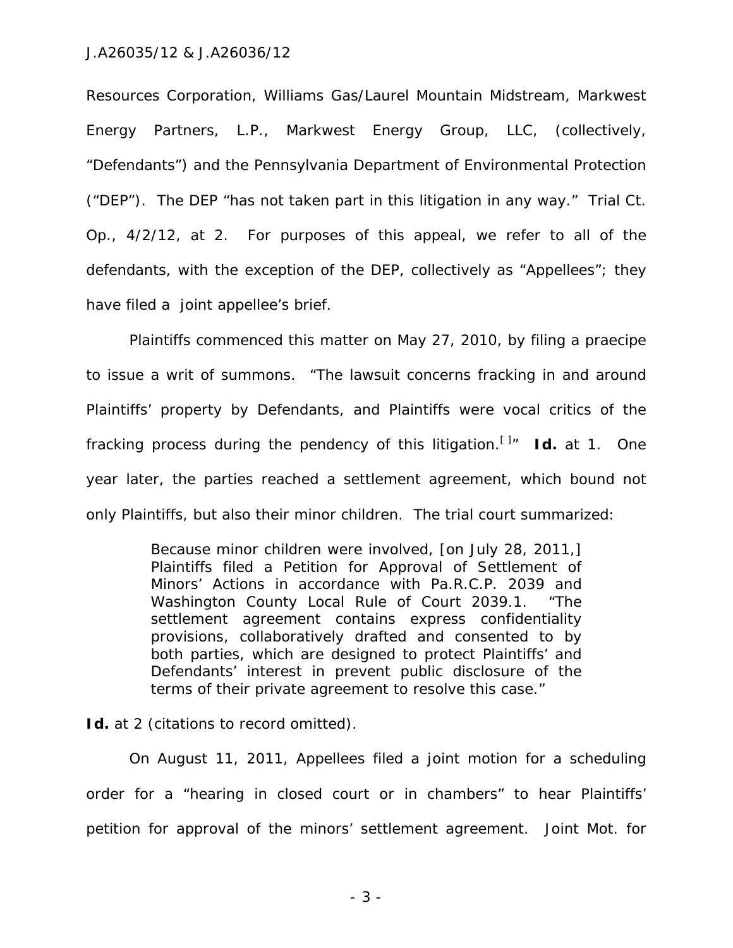Resources Corporation, Williams Gas/Laurel Mountain Midstream, Markwest Energy Partners, L.P., Markwest Energy Group, LLC, (collectively, "Defendants") and the Pennsylvania Department of Environmental Protection ("DEP"). The DEP "has not taken part in this litigation in any way." Trial Ct. Op., 4/2/12, at 2. For purposes of this appeal, we refer to all of the defendants, with the exception of the DEP, collectively as "Appellees"; they have filed a joint appellee's brief.

Plaintiffs commenced this matter on May 27, 2010, by filing a praecipe to issue a writ of summons. "The lawsuit concerns fracking in and around Plaintiffs' property by Defendants, and Plaintiffs were vocal critics of the fracking process during the pendency of this litigation.[ ]" *Id.* at 1. One year later, the parties reached a settlement agreement, which bound not only Plaintiffs, but also their minor children. The trial court summarized:

> Because minor children were involved, [on July 28, 2011,] Plaintiffs filed a Petition for Approval of Settlement of Minors' Actions in accordance with Pa.R.C.P. 2039 and Washington County Local Rule of Court 2039.1. "The settlement agreement contains express confidentiality provisions, collaboratively drafted and consented to by both parties, which are designed to protect Plaintiffs' and Defendants' interest in prevent public disclosure of the terms of their private agreement to resolve this case."

Id. at 2 (citations to record omitted).

On August 11, 2011, Appellees filed a joint motion for a scheduling order for a "hearing in closed court or in chambers" to hear Plaintiffs' petition for approval of the minors' settlement agreement. Joint Mot. for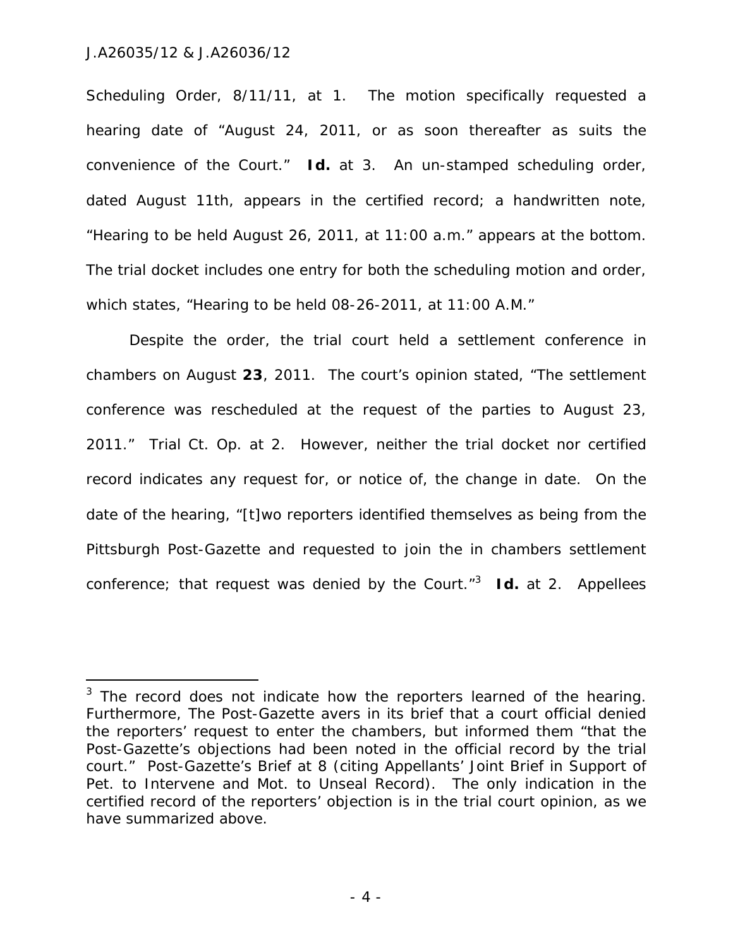$\overline{a}$ 

Scheduling Order, 8/11/11, at 1. The motion specifically requested a hearing date of "August 24, 2011, or as soon thereafter as suits the convenience of the Court." *Id.* at 3. An un-stamped scheduling order, dated August 11th, appears in the certified record; a handwritten note, "Hearing to be held August 26, 2011, at 11:00 a.m." appears at the bottom. The trial docket includes one entry for both the scheduling motion and order, which states, "Hearing to be held 08-26-2011, at 11:00 A.M."

Despite the order, the trial court held a settlement conference in chambers on August **23**, 2011. The court's opinion stated, "The settlement conference was rescheduled at the request of the parties to August 23, 2011." Trial Ct. Op. at 2. However, neither the trial docket nor certified record indicates any request for, or notice of, the change in date. On the date of the hearing, "[t]wo reporters identified themselves as being from the Pittsburgh Post-Gazette and requested to join the in chambers settlement conference; that request was denied by the Court."3 *Id.* at 2. Appellees

 $3$  The record does not indicate how the reporters learned of the hearing. Furthermore, The Post-Gazette avers in its brief that a court official denied the reporters' request to enter the chambers, but informed them "that the Post-Gazette's objections had been noted in the official record by the trial court." Post-Gazette's Brief at 8 (citing Appellants' Joint Brief in Support of Pet. to Intervene and Mot. to Unseal Record). The only indication in the certified record of the reporters' objection is in the trial court opinion, as we have summarized above.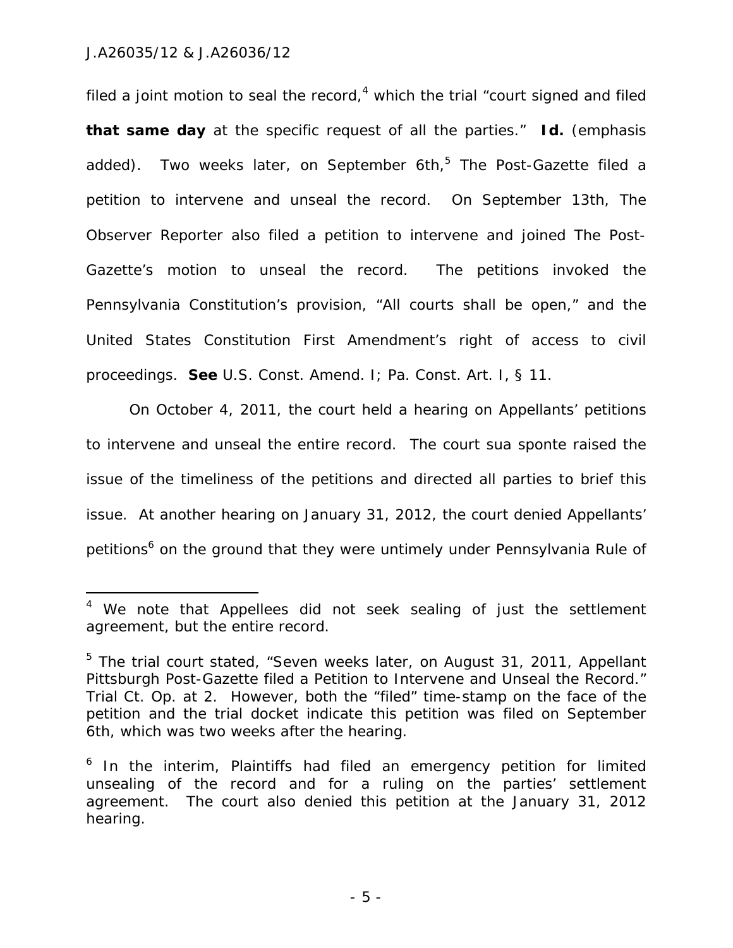$\overline{a}$ 

filed a joint motion to seal the record,<sup>4</sup> which the trial "court signed and filed **that same day** at the specific request of all the parties." *Id.* (emphasis added). Two weeks later, on September 6th,<sup>5</sup> The Post-Gazette filed a petition to intervene and unseal the record. On September 13th, The Observer Reporter also filed a petition to intervene and joined The Post-Gazette's motion to unseal the record. The petitions invoked the Pennsylvania Constitution's provision, "All courts shall be open," and the United States Constitution First Amendment's right of access to civil proceedings. *See* U.S. Const. Amend. I; Pa. Const. Art. I, § 11.

On October 4, 2011, the court held a hearing on Appellants' petitions to intervene and unseal the entire record. The court *sua sponte* raised the issue of the timeliness of the petitions and directed all parties to brief this issue. At another hearing on January 31, 2012, the court denied Appellants' petitions<sup>6</sup> on the ground that they were untimely under Pennsylvania Rule of

<sup>&</sup>lt;sup>4</sup> We note that Appellees did not seek sealing of just the settlement agreement, but the entire record.

<sup>&</sup>lt;sup>5</sup> The trial court stated, "Seven weeks later, on August 31, 2011, Appellant Pittsburgh Post-Gazette filed a Petition to Intervene and Unseal the Record." Trial Ct. Op. at 2. However, both the "filed" time-stamp on the face of the petition and the trial docket indicate this petition was filed on September 6th, which was two weeks after the hearing.

<sup>&</sup>lt;sup>6</sup> In the interim, Plaintiffs had filed an emergency petition for limited unsealing of the record and for a ruling on the parties' settlement agreement. The court also denied this petition at the January 31, 2012 hearing.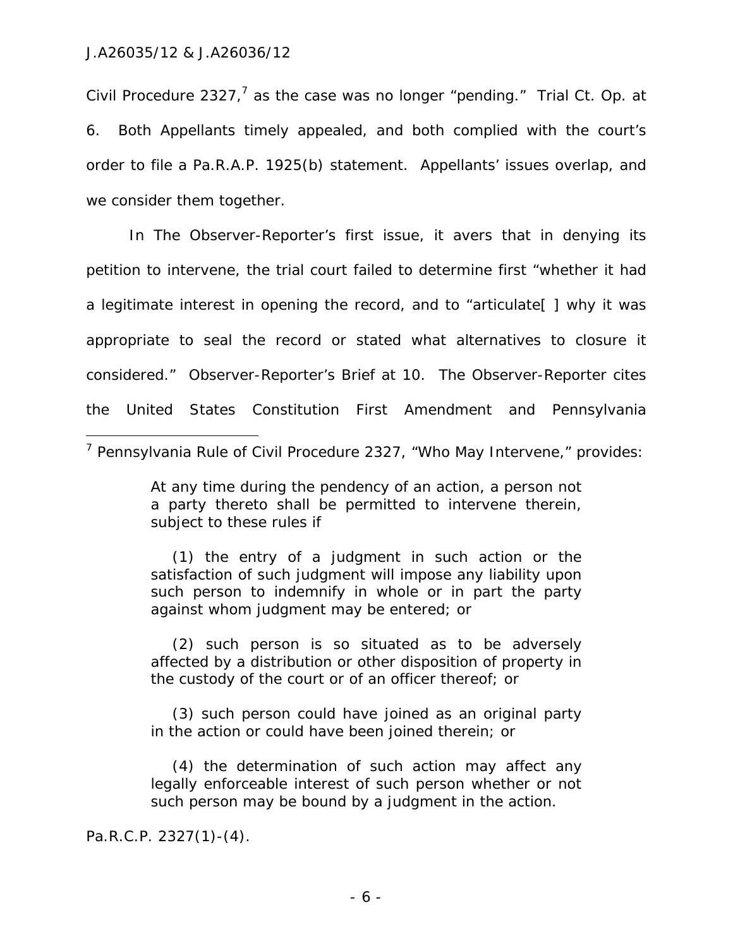Civil Procedure 2327,<sup>7</sup> as the case was no longer "pending." Trial Ct. Op. at 6. Both Appellants timely appealed, and both complied with the court's order to file a Pa.R.A.P. 1925(b) statement. Appellants' issues overlap, and we consider them together.

In The Observer-Reporter's first issue, it avers that in denying its petition to intervene, the trial court failed to determine first "whether it had a legitimate interest in opening the record, and to "articulate[ ] why it was appropriate to seal the record or stated what alternatives to closure it considered." Observer-Reporter's Brief at 10. The Observer-Reporter cites the United States Constitution First Amendment and Pennsylvania  $\overline{a}$ 

At any time during the pendency of an action, a person not a party thereto shall be permitted to intervene therein, subject to these rules if

(1) the entry of a judgment in such action or the satisfaction of such judgment will impose any liability upon such person to indemnify in whole or in part the party against whom judgment may be entered; or

(2) such person is so situated as to be adversely affected by a distribution or other disposition of property in the custody of the court or of an officer thereof; or

(3) such person could have joined as an original party in the action or could have been joined therein; or

(4) the determination of such action may affect any legally enforceable interest of such person whether or not such person may be bound by a judgment in the action.

Pa.R.C.P. 2327(1)-(4).

<sup>&</sup>lt;sup>7</sup> Pennsylvania Rule of Civil Procedure 2327, "Who May Intervene," provides: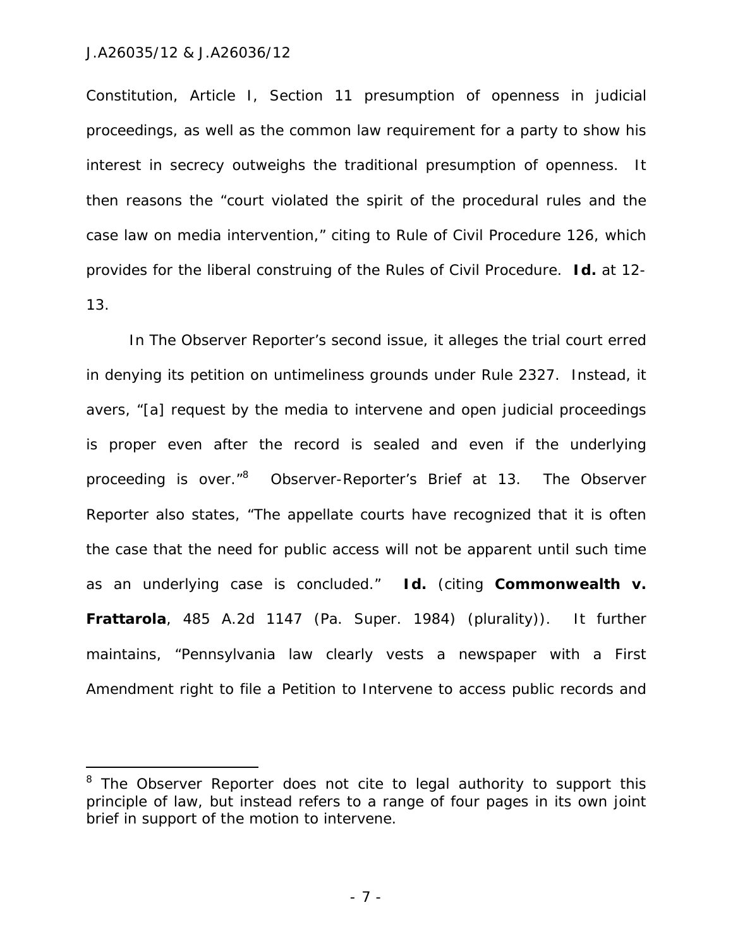$\overline{a}$ 

Constitution, Article I, Section 11 presumption of openness in judicial proceedings, as well as the common law requirement for a party to show his interest in secrecy outweighs the traditional presumption of openness. It then reasons the "court violated the spirit of the procedural rules and the case law on media intervention," citing to Rule of Civil Procedure 126, which provides for the liberal construing of the Rules of Civil Procedure. *Id.* at 12- 13.

In The Observer Reporter's second issue, it alleges the trial court erred in denying its petition on untimeliness grounds under Rule 2327. Instead, it avers, "[a] request by the media to intervene and open judicial proceedings is proper even after the record is sealed and even if the underlying proceeding is over."<sup>8</sup> Observer-Reporter's Brief at 13. The Observer Reporter also states, "The appellate courts have recognized that it is often the case that the need for public access will not be apparent until such time as an underlying case is concluded." *Id.* (citing *Commonwealth v. Frattarola*, 485 A.2d 1147 (Pa. Super. 1984) (plurality)). It further maintains, "Pennsylvania law clearly vests a newspaper with a First Amendment right to file a Petition to Intervene to access public records and

- 7 -

<sup>&</sup>lt;sup>8</sup> The Observer Reporter does not cite to legal authority to support this principle of law, but instead refers to a range of four pages in its own joint brief in support of the motion to intervene.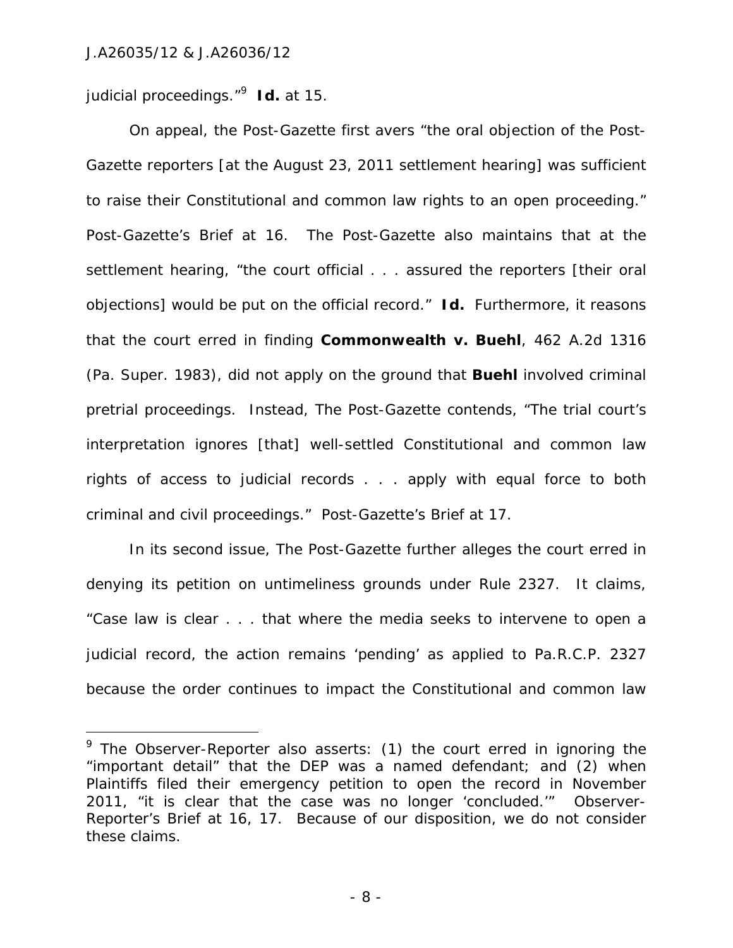$\overline{a}$ 

judicial proceedings."<sup>9</sup> *Id.* at 15.

On appeal, the Post-Gazette first avers "the oral objection of the Post-Gazette reporters [at the August 23, 2011 settlement hearing] was sufficient to raise their Constitutional and common law rights to an open proceeding." Post-Gazette's Brief at 16. The Post-Gazette also maintains that at the settlement hearing, "the court official . . . assured the reporters [their oral objections] would be put on the official record." *Id.* Furthermore, it reasons that the court erred in finding *Commonwealth v. Buehl*, 462 A.2d 1316 (Pa. Super. 1983), did not apply on the ground that *Buehl* involved criminal pretrial proceedings. Instead, The Post-Gazette contends, "The trial court's interpretation ignores [that] well-settled Constitutional and common law rights of access to judicial records . . . apply with equal force to both criminal and civil proceedings." Post-Gazette's Brief at 17.

In its second issue, The Post-Gazette further alleges the court erred in denying its petition on untimeliness grounds under Rule 2327. It claims, "Case law is clear . . . that where the media seeks to intervene to open a judicial record, the action remains 'pending' as applied to Pa.R.C.P. 2327 because the order continues to impact the Constitutional and common law

<sup>&</sup>lt;sup>9</sup> The Observer-Reporter also asserts: (1) the court erred in ignoring the "important detail" that the DEP was a named defendant; and (2) when Plaintiffs filed their emergency petition to open the record in November 2011, "it is clear that the case was no longer 'concluded.'" Observer-Reporter's Brief at 16, 17. Because of our disposition, we do not consider these claims.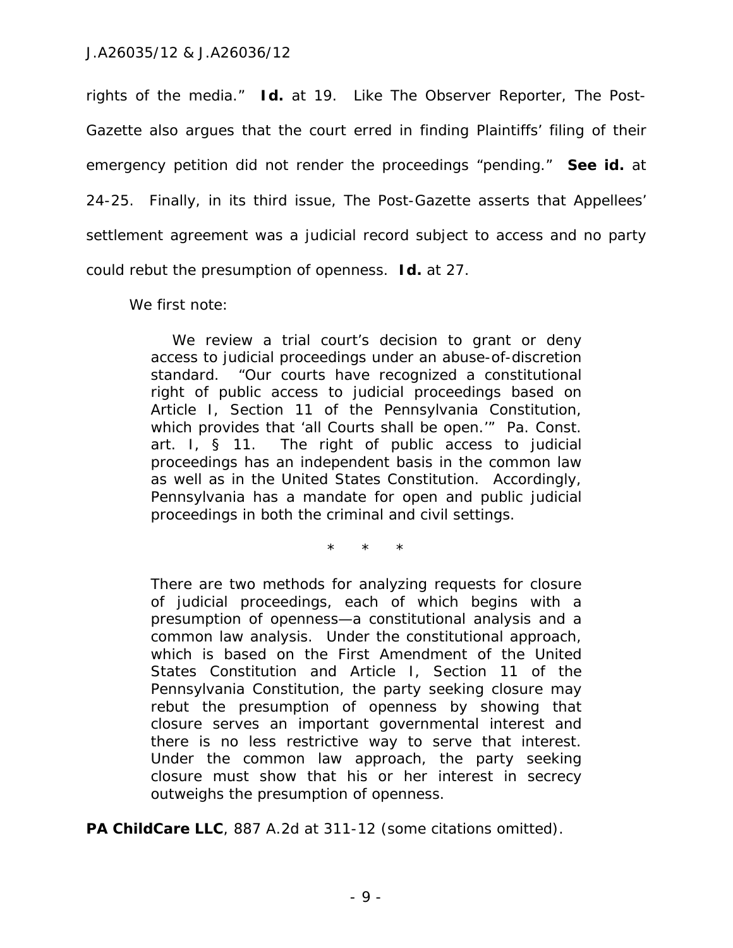rights of the media." *Id.* at 19. Like The Observer Reporter, The Post-Gazette also argues that the court erred in finding Plaintiffs' filing of their emergency petition did not render the proceedings "pending." *See id.* at 24-25. Finally, in its third issue, The Post-Gazette asserts that Appellees' settlement agreement was a judicial record subject to access and no party could rebut the presumption of openness. *Id.* at 27.

We first note:

We review a trial court's decision to grant or deny access to judicial proceedings under an abuse-of-discretion standard. "Our courts have recognized a constitutional right of public access to judicial proceedings based on Article I, Section 11 of the Pennsylvania Constitution, which provides that 'all Courts shall be open.'" Pa. Const. art. I, § 11. The right of public access to judicial proceedings has an independent basis in the common law as well as in the United States Constitution. Accordingly, Pennsylvania has a mandate for open and public judicial proceedings in both the criminal and civil settings.

\* \* \*

There are two methods for analyzing requests for closure of judicial proceedings, each of which begins with a presumption of openness—a constitutional analysis and a common law analysis. Under the constitutional approach, which is based on the First Amendment of the United States Constitution and Article I, Section 11 of the Pennsylvania Constitution, the party seeking closure may rebut the presumption of openness by showing that closure serves an important governmental interest and there is no less restrictive way to serve that interest. Under the common law approach, the party seeking closure must show that his or her interest in secrecy outweighs the presumption of openness.

PA ChildCare LLC, 887 A.2d at 311-12 (some citations omitted).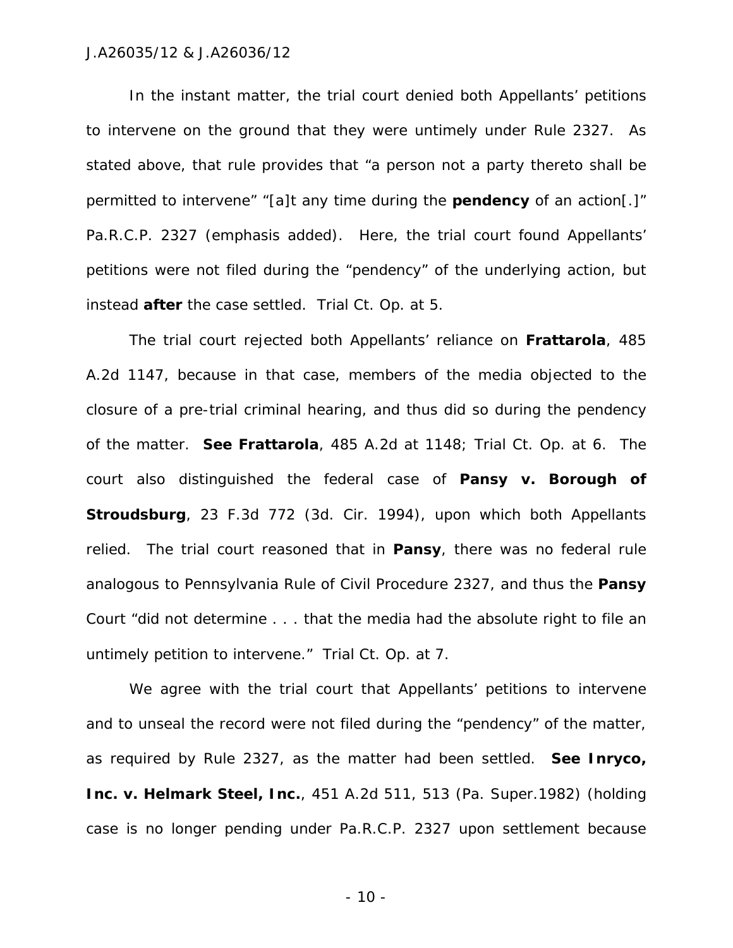In the instant matter, the trial court denied both Appellants' petitions to intervene on the ground that they were untimely under Rule 2327. As stated above, that rule provides that "a person not a party thereto shall be permitted to intervene" "[a]t any time during the **pendency** of an action[.]" Pa.R.C.P. 2327 (emphasis added). Here, the trial court found Appellants' petitions were not filed during the "pendency" of the underlying action, but instead **after** the case settled. Trial Ct. Op. at 5.

The trial court rejected both Appellants' reliance on *Frattarola*, 485 A.2d 1147, because in that case, members of the media objected to the closure of a pre-trial criminal hearing, and thus did so during the pendency of the matter. *See Frattarola*, 485 A.2d at 1148; Trial Ct. Op. at 6. The court also distinguished the federal case of *Pansy v. Borough of Stroudsburg*, 23 F.3d 772 (3d. Cir. 1994), upon which both Appellants relied. The trial court reasoned that in *Pansy*, there was no federal rule analogous to Pennsylvania Rule of Civil Procedure 2327, and thus the *Pansy* Court "did not determine . . . that the media had the absolute right to file an untimely petition to intervene." Trial Ct. Op. at 7.

We agree with the trial court that Appellants' petitions to intervene and to unseal the record were not filed during the "pendency" of the matter, as required by Rule 2327, as the matter had been settled. *See Inryco, Inc. v. Helmark Steel, Inc.*, 451 A.2d 511, 513 (Pa. Super.1982) (holding case is no longer pending under Pa.R.C.P. 2327 upon settlement because

- 10 -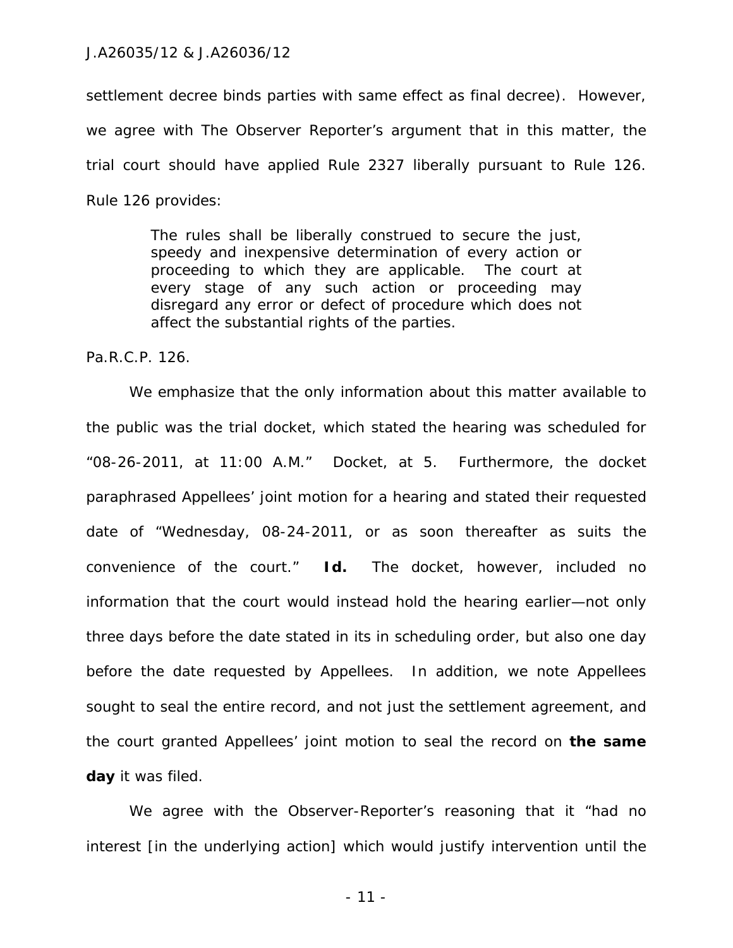settlement decree binds parties with same effect as final decree). However, we agree with The Observer Reporter's argument that in this matter, the trial court should have applied Rule 2327 liberally pursuant to Rule 126. Rule 126 provides:

> The rules shall be liberally construed to secure the just, speedy and inexpensive determination of every action or proceeding to which they are applicable. The court at every stage of any such action or proceeding may disregard any error or defect of procedure which does not affect the substantial rights of the parties.

Pa.R.C.P. 126.

We emphasize that the only information about this matter available to the public was the trial docket, which stated the hearing was scheduled for "08-26-2011, at 11:00 A.M." Docket, at 5. Furthermore, the docket paraphrased Appellees' joint motion for a hearing and stated their requested date of "Wednesday, 08-24-2011, or as soon thereafter as suits the convenience of the court." *Id.* The docket, however, included no information that the court would instead hold the hearing earlier—not only three days before the date stated in its in scheduling order, but also one day before the date requested by Appellees. In addition, we note Appellees sought to seal the entire record, and not just the settlement agreement, and the court granted Appellees' joint motion to seal the record on **the same day** it was filed.

We agree with the Observer-Reporter's reasoning that it "had no interest [in the underlying action] which would justify intervention until the

- 11 -